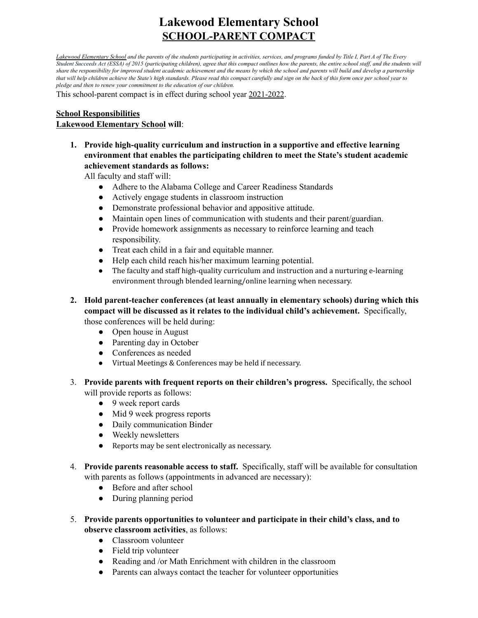# **Lakewood Elementary School SCHOOL-PARENT COMPACT**

*Lakewood Elementary School and the parents of the students participating in activities, services, and programs funded by Title I, Part A of The Every Student Succeeds Act (ESSA) of 2015 (participating children), agree that this compact outlines how the parents, the entire school staff, and the students will share the responsibility for improved student academic achievement and the means by which the school and parents will build and develop a partnership that will help children achieve the State's high standards. Please read this compact carefully and sign on the back of this form once per school year to pledge and then to renew your commitment to the education of our children.*

This school-parent compact is in effect during school year 2021-2022.

## **Lakewood Elementary School will**: **School Responsibilities**

 **1. Provide high-quality curriculum and instruction in a supportive and effective learning environment that enables the participating children to meet the State's student academic achievement standards as follows:**

All faculty and staff will:

- Adhere to the Alabama College and Career Readiness Standards
- Actively engage students in classroom instruction
- Demonstrate professional behavior and appositive attitude.
- Maintain open lines of communication with students and their parent/guardian.
- ● Provide homework assignments as necessary to reinforce learning and teach responsibility.
- Treat each child in a fair and equitable manner.
- Help each child reach his/her maximum learning potential.
- **●** The faculty and staff high-quality curriculum and instruction and a nurturing e-learning environment through blended learning/online learning when necessary.
- **2. Hold parent-teacher conferences (at least annually in elementary schools) during which this compact will be discussed as it relates to the individual child's achievement.** Specifically, those conferences will be held during:
	- Open house in August
	- Parenting day in October
	- Conferences as needed
	- **●** Virtual Meetings & Conferences may be held if necessary.
- 3. **Provide parents with frequent reports on their children's progress.** Specifically, the school will provide reports as follows:
	- 9 week report cards
	- *●* Mid 9 week progress reports
	- *●* Daily communication Binder
	- *●* Weekly newsletters
	- *●* Reports may be sent electronically as necessary.
- 4. **Provide parents reasonable access to staff.** Specifically, staff will be available for consultation with parents as follows (appointments in advanced are necessary):
	- Before and after school
	- During planning period
- 5. **Provide parents opportunities to volunteer and participate in their child's class, and to observe classroom activities**, as follows:
	- Classroom volunteer
	- Field trip volunteer
	- Reading and /or Math Enrichment with children in the classroom
	- Parents can always contact the teacher for volunteer opportunities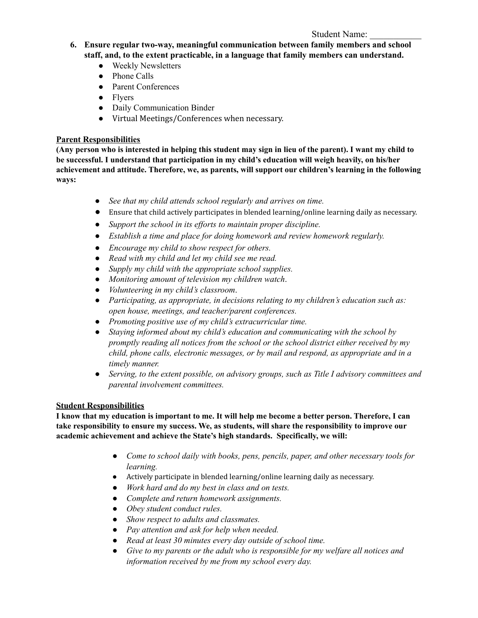#### Student Name:

- **6. Ensure regular two-way, meaningful communication between family members and school staff, and, to the extent practicable, in a language that family members can understand.**
	- **●** Weekly Newsletters
	- **●** Phone Calls
	- **●** Parent Conferences
	- **●** Flyers
	- **●** Daily Communication Binder
	- Virtual Meetings/Conferences when necessary.

## **Parent Responsibilities**

**(Any person who is interested in helping this student may sign in lieu of the parent). I want my child to be successful. I understand that participation in my child's education will weigh heavily, on his/her achievement and attitude. Therefore, we, as parents, will support our children's learning in the following ways:**

- *See that my child attends school regularly and arrives on time.*
- Ensure that child actively participates in blended learning/online learning daily as necessary.
- *● Support the school in its efforts to maintain proper discipline.*
- *● Establish a time and place for doing homework and review homework regularly.*
- *Encourage my child to show respect for others.*
- *Read with my child and let my child see me read.*
- *Supply my child with the appropriate school supplies.*
- *Monitoring amount of television my children watch*.
- *Volunteering in my child's classroom*.
- *Participating, as appropriate, in decisions relating to my children's education such as: open house, meetings, and teacher/parent conferences.*
- *Promoting positive use of my child's extracurricular time.*
- *Staying informed about my child's education and communicating with the school by promptly reading all notices from the school or the school district either received by my child, phone calls, electronic messages, or by mail and respond, as appropriate and in a timely manner.*
- *Serving, to the extent possible, on advisory groups, such as Title I advisory committees and parental involvement committees.*

## **Student Responsibilities**

**I know that my education is important to me. It will help me become a better person. Therefore, I can take responsibility to ensure my success. We, as students, will share the responsibility to improve our academic achievement and achieve the State's high standards. Specifically, we will:**

- *● Come to school daily with books, pens, pencils, paper, and other necessary tools for learning.*
- Actively participate in blended learning/online learning daily as necessary.
- *● Work hard and do my best in class and on tests.*
- *● Complete and return homework assignments.*
- *● Obey student conduct rules.*
- *● Show respect to adults and classmates.*
- *● Pay attention and ask for help when needed.*
- *● Read at least 30 minutes every day outside of school time.*
- *● Give to my parents or the adult who is responsible for my welfare all notices and information received by me from my school every day.*